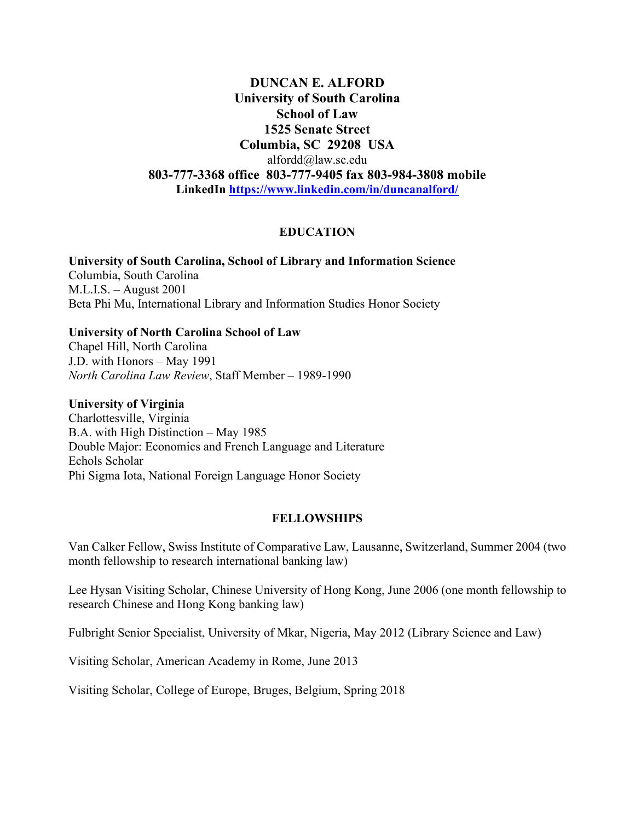**DUNCAN E. ALFORD University of South Carolina School of Law 1525 Senate Street Columbia, SC 29208 USA** [alfordd@law.sc.edu](mailto:alfordd@gwm.sc.edu) **803-777-3368 office 803-777-9405 fax 803-984-3808 mobile LinkedIn<https://www.linkedin.com/in/duncanalford/>**

### **EDUCATION**

**University of South Carolina, School of Library and Information Science** Columbia, South Carolina M.L.I.S. – August 2001 Beta Phi Mu, International Library and Information Studies Honor Society

**University of North Carolina School of Law** Chapel Hill, North Carolina J.D. with Honors – May 1991 *North Carolina Law Review*, Staff Member – 1989-1990

**University of Virginia**

Charlottesville, Virginia B.A. with High Distinction – May 1985 Double Major: Economics and French Language and Literature Echols Scholar Phi Sigma Iota, National Foreign Language Honor Society

#### **FELLOWSHIPS**

Van Calker Fellow, Swiss Institute of Comparative Law, Lausanne, Switzerland, Summer 2004 (two month fellowship to research international banking law)

Lee Hysan Visiting Scholar, Chinese University of Hong Kong, June 2006 (one month fellowship to research Chinese and Hong Kong banking law)

Fulbright Senior Specialist, University of Mkar, Nigeria, May 2012 (Library Science and Law)

Visiting Scholar, American Academy in Rome, June 2013

Visiting Scholar, College of Europe, Bruges, Belgium, Spring 2018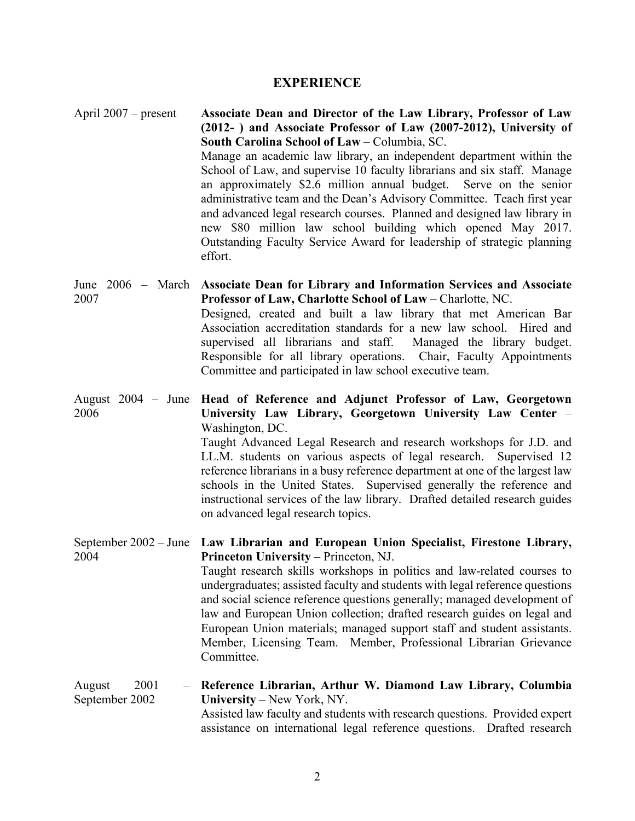#### **EXPERIENCE**

April 2007 – present **Associate Dean and Director of the Law Library, Professor of Law (2012- ) and Associate Professor of Law (2007-2012), University of South Carolina School of Law** – Columbia, SC. Manage an academic law library, an independent department within the School of Law, and supervise 10 faculty librarians and six staff. Manage an approximately \$2.6 million annual budget. Serve on the senior administrative team and the Dean's Advisory Committee. Teach first year and advanced legal research courses. Planned and designed law library in new \$80 million law school building which opened May 2017. Outstanding Faculty Service Award for leadership of strategic planning effort.

June 2006 – March **Associate Dean for Library and Information Services and Associate**  2007 **Professor of Law, Charlotte School of Law** – Charlotte, NC. Designed, created and built a law library that met American Bar Association accreditation standards for a new law school. Hired and supervised all librarians and staff. Managed the library budget. Responsible for all library operations. Chair, Faculty Appointments Committee and participated in law school executive team.

August 2004 – June **Head of Reference and Adjunct Professor of Law, Georgetown**  2006 **University Law Library, Georgetown University Law Center** – Washington, DC.

Taught Advanced Legal Research and research workshops for J.D. and LL.M. students on various aspects of legal research. Supervised 12 reference librarians in a busy reference department at one of the largest law schools in the United States. Supervised generally the reference and instructional services of the law library. Drafted detailed research guides on advanced legal research topics.

September 2002 – June **Law Librarian and European Union Specialist, Firestone Library,**  2004 **Princeton University** – Princeton, NJ. Taught research skills workshops in politics and law-related courses to undergraduates; assisted faculty and students with legal reference questions and social science reference questions generally; managed development of law and European Union collection; drafted research guides on legal and European Union materials; managed support staff and student assistants. Member, Licensing Team. Member, Professional Librarian Grievance Committee.

August 2001 September 2002 **Reference Librarian, Arthur W. Diamond Law Library, Columbia University** – New York, NY. Assisted law faculty and students with research questions. Provided expert assistance on international legal reference questions. Drafted research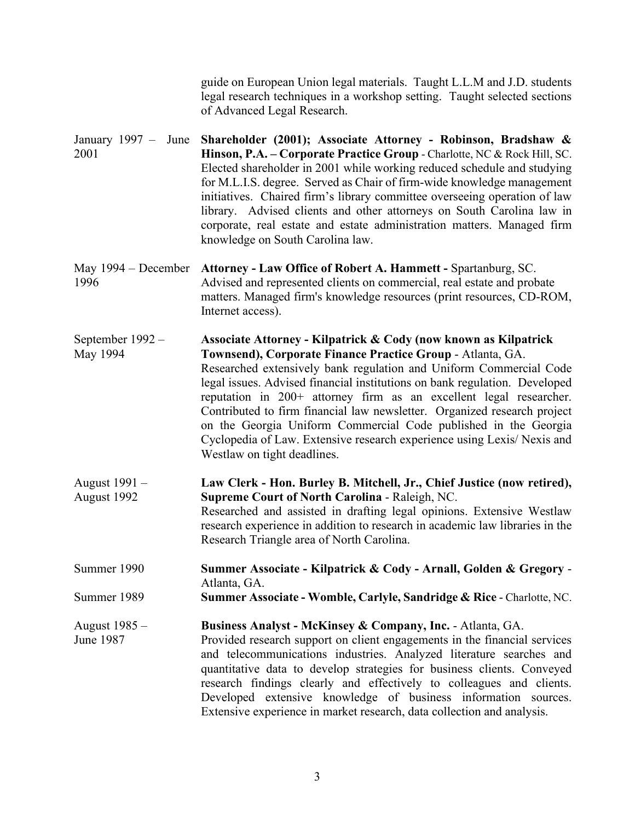|                               | guide on European Union legal materials. Taught L.L.M and J.D. students<br>legal research techniques in a workshop setting. Taught selected sections<br>of Advanced Legal Research.                                                                                                                                                                                                                                                                                                                                                                                                                              |
|-------------------------------|------------------------------------------------------------------------------------------------------------------------------------------------------------------------------------------------------------------------------------------------------------------------------------------------------------------------------------------------------------------------------------------------------------------------------------------------------------------------------------------------------------------------------------------------------------------------------------------------------------------|
| January $1997 -$ June<br>2001 | Shareholder (2001); Associate Attorney - Robinson, Bradshaw &<br>Hinson, P.A. - Corporate Practice Group - Charlotte, NC & Rock Hill, SC.<br>Elected shareholder in 2001 while working reduced schedule and studying<br>for M.L.I.S. degree. Served as Chair of firm-wide knowledge management<br>initiatives. Chaired firm's library committee overseeing operation of law<br>library. Advised clients and other attorneys on South Carolina law in<br>corporate, real estate and estate administration matters. Managed firm<br>knowledge on South Carolina law.                                               |
| May $1994 - December$<br>1996 | Attorney - Law Office of Robert A. Hammett - Spartanburg, SC.<br>Advised and represented clients on commercial, real estate and probate<br>matters. Managed firm's knowledge resources (print resources, CD-ROM,<br>Internet access).                                                                                                                                                                                                                                                                                                                                                                            |
| September 1992 -<br>May 1994  | Associate Attorney - Kilpatrick & Cody (now known as Kilpatrick<br>Townsend), Corporate Finance Practice Group - Atlanta, GA.<br>Researched extensively bank regulation and Uniform Commercial Code<br>legal issues. Advised financial institutions on bank regulation. Developed<br>reputation in 200+ attorney firm as an excellent legal researcher.<br>Contributed to firm financial law newsletter. Organized research project<br>on the Georgia Uniform Commercial Code published in the Georgia<br>Cyclopedia of Law. Extensive research experience using Lexis/ Nexis and<br>Westlaw on tight deadlines. |
| August 1991 –<br>August 1992  | Law Clerk - Hon. Burley B. Mitchell, Jr., Chief Justice (now retired),<br>Supreme Court of North Carolina - Raleigh, NC.<br>Researched and assisted in drafting legal opinions. Extensive Westlaw<br>research experience in addition to research in academic law libraries in the<br>Research Triangle area of North Carolina.                                                                                                                                                                                                                                                                                   |
| Summer 1990                   | Summer Associate - Kilpatrick & Cody - Arnall, Golden & Gregory -<br>Atlanta, GA.                                                                                                                                                                                                                                                                                                                                                                                                                                                                                                                                |
| Summer 1989                   | Summer Associate - Womble, Carlyle, Sandridge & Rice - Charlotte, NC.                                                                                                                                                                                                                                                                                                                                                                                                                                                                                                                                            |
| August 1985 –<br>June 1987    | Business Analyst - McKinsey & Company, Inc. - Atlanta, GA.<br>Provided research support on client engagements in the financial services<br>and telecommunications industries. Analyzed literature searches and<br>quantitative data to develop strategies for business clients. Conveyed<br>research findings clearly and effectively to colleagues and clients.<br>Developed extensive knowledge of business information sources.<br>Extensive experience in market research, data collection and analysis.                                                                                                     |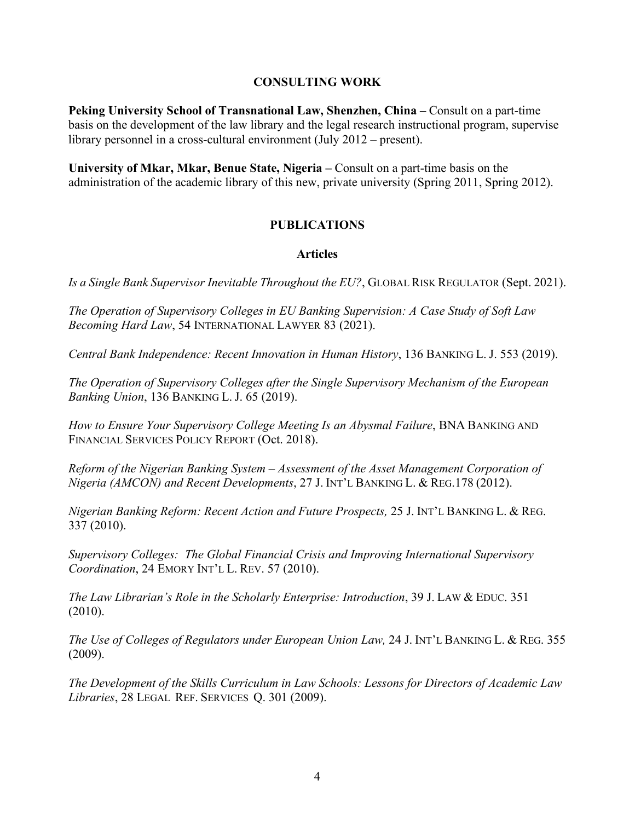### **CONSULTING WORK**

**Peking University School of Transnational Law, Shenzhen, China –** Consult on a part-time basis on the development of the law library and the legal research instructional program, supervise library personnel in a cross-cultural environment (July 2012 – present).

**University of Mkar, Mkar, Benue State, Nigeria –** Consult on a part-time basis on the administration of the academic library of this new, private university (Spring 2011, Spring 2012).

## **PUBLICATIONS**

#### **Articles**

*Is a Single Bank Supervisor Inevitable Throughout the EU?*, GLOBAL RISK REGULATOR (Sept. 2021).

*The Operation of Supervisory Colleges in EU Banking Supervision: A Case Study of Soft Law Becoming Hard Law*, 54 INTERNATIONAL LAWYER 83 (2021).

*Central Bank Independence: Recent Innovation in Human History*, 136 BANKING L. J. 553 (2019).

*The Operation of Supervisory Colleges after the Single Supervisory Mechanism of the European Banking Union*, 136 BANKING L. J. 65 (2019).

*How to Ensure Your Supervisory College Meeting Is an Abysmal Failure*, BNA BANKING AND FINANCIAL SERVICES POLICY REPORT (Oct. 2018).

*Reform of the Nigerian Banking System – Assessment of the Asset Management Corporation of Nigeria (AMCON) and Recent Developments*, 27 J. INT'L BANKING L. & REG.178 (2012).

*Nigerian Banking Reform: Recent Action and Future Prospects,* 25 J. INT'L BANKING L. & REG. 337 (2010).

*Supervisory Colleges: The Global Financial Crisis and Improving International Supervisory Coordination*, 24 EMORY INT'L L. REV. 57 (2010).

*The Law Librarian's Role in the Scholarly Enterprise: Introduction*, 39 J. LAW & EDUC. 351 (2010).

*The Use of Colleges of Regulators under European Union Law,* 24 J. INT'L BANKING L. & REG. 355 (2009).

*The Development of the Skills Curriculum in Law Schools: Lessons for Directors of Academic Law Libraries*, 28 LEGAL REF. SERVICES Q. 301 (2009).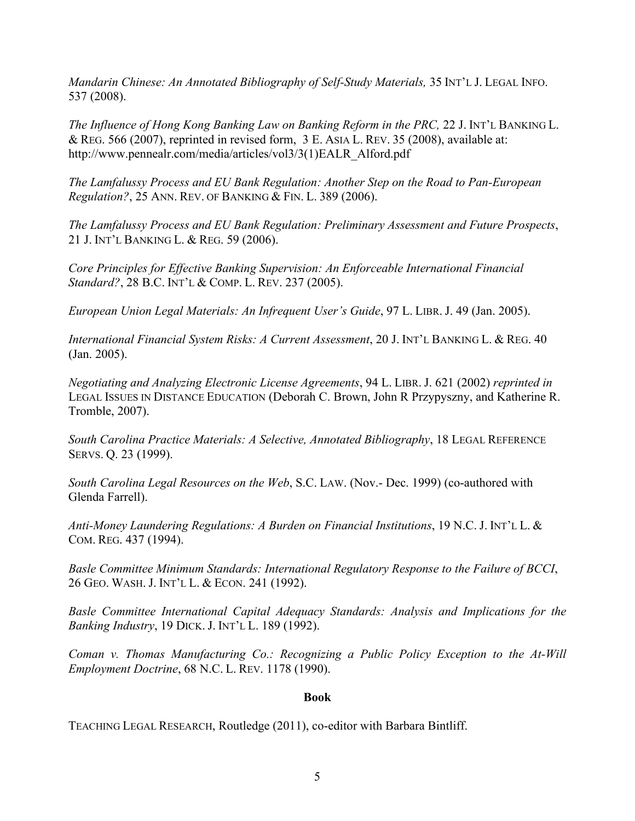*Mandarin Chinese: An Annotated Bibliography of Self-Study Materials,* 35 INT'L J. LEGAL INFO. 537 (2008).

*The Influence of Hong Kong Banking Law on Banking Reform in the PRC,* 22 J. INT'L BANKING L. & REG. 566 (2007), reprinted in revised form, 3 E. ASIA L. REV. 35 (2008), available at: [http://www.pennealr.com/media/articles/vol3/3\(1\)EALR\\_Alford.pdf](http://www.pennealr.com/media/articles/vol3/3(1)EALR_Alford.pdf) 

*The Lamfalussy Process and EU Bank Regulation: Another Step on the Road to Pan-European Regulation?*, 25 ANN. REV. OF BANKING & FIN. L. 389 (2006).

*The Lamfalussy Process and EU Bank Regulation: Preliminary Assessment and Future Prospects*, 21 J. INT'L BANKING L. & REG. 59 (2006).

*Core Principles for Effective Banking Supervision: An Enforceable International Financial Standard?*, 28 B.C. INT'L & COMP. L. REV. 237 (2005).

*European Union Legal Materials: An Infrequent User's Guide*, 97 L. LIBR. J. 49 (Jan. 2005).

*International Financial System Risks: A Current Assessment*, 20 J. INT'L BANKING L. & REG. 40 (Jan. 2005).

*Negotiating and Analyzing Electronic License Agreements*, 94 L. LIBR. J. 621 (2002) *reprinted in* LEGAL ISSUES IN DISTANCE EDUCATION (Deborah C. Brown, John R Przypyszny, and Katherine R. Tromble, 2007).

*South Carolina Practice Materials: A Selective, Annotated Bibliography*, 18 LEGAL REFERENCE SERVS. Q. 23 (1999).

*South Carolina Legal Resources on the Web*, S.C. LAW. (Nov.- Dec. 1999) (co-authored with Glenda Farrell).

*Anti-Money Laundering Regulations: A Burden on Financial Institutions*, 19 N.C. J. INT'L L. & COM. REG. 437 (1994).

*Basle Committee Minimum Standards: International Regulatory Response to the Failure of BCCI*, 26 GEO. WASH. J. INT'L L. & ECON. 241 (1992).

*Basle Committee International Capital Adequacy Standards: Analysis and Implications for the Banking Industry*, 19 DICK. J. INT'L L. 189 (1992).

*Coman v. Thomas Manufacturing Co.: Recognizing a Public Policy Exception to the At-Will Employment Doctrine*, 68 N.C. L. REV. 1178 (1990).

#### **Book**

TEACHING LEGAL RESEARCH, Routledge (2011), co-editor with Barbara Bintliff.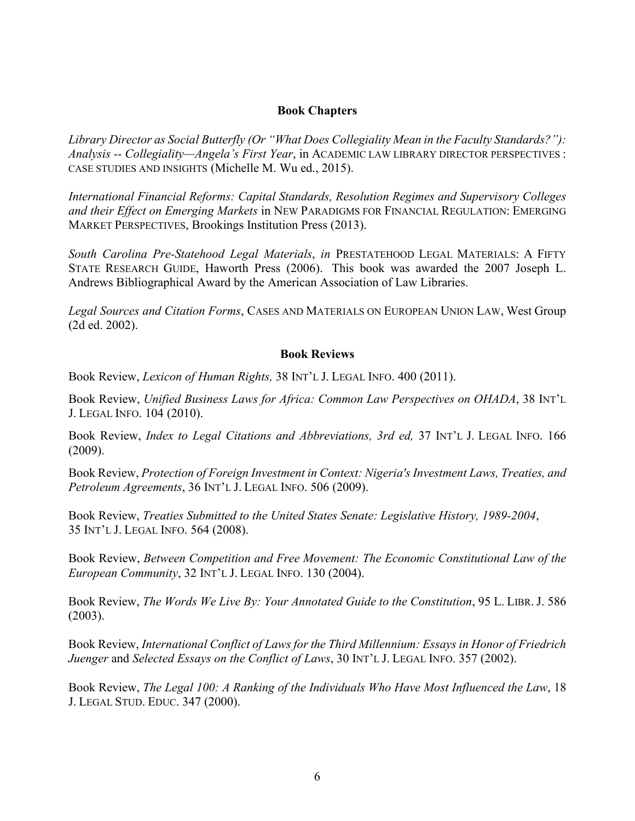#### **Book Chapters**

*Library Director as Social Butterfly (Or "What Does Collegiality Mean in the Faculty Standards?"): Analysis -- Collegiality—Angela's First Year*, in ACADEMIC LAW LIBRARY DIRECTOR PERSPECTIVES : CASE STUDIES AND INSIGHTS (Michelle M. Wu ed., 2015).

*International Financial Reforms: Capital Standards, Resolution Regimes and Supervisory Colleges and their Effect on Emerging Markets* in NEW PARADIGMS FOR FINANCIAL REGULATION: EMERGING MARKET PERSPECTIVES, Brookings Institution Press (2013).

*South Carolina Pre-Statehood Legal Materials*, *in* PRESTATEHOOD LEGAL MATERIALS: A FIFTY STATE RESEARCH GUIDE, Haworth Press (2006). This book was awarded the 2007 Joseph L. Andrews Bibliographical Award by the American Association of Law Libraries.

*Legal Sources and Citation Forms*, CASES AND MATERIALS ON EUROPEAN UNION LAW, West Group (2d ed. 2002).

#### **Book Reviews**

Book Review, *Lexicon of Human Rights,* 38 INT'L J. LEGAL INFO. 400 (2011).

Book Review, *Unified Business Laws for Africa: Common Law Perspectives on OHADA*, 38 INT'L J. LEGAL INFO. 104 (2010).

Book Review, *Index to Legal Citations and Abbreviations, 3rd ed,* 37 INT'L J. LEGAL INFO. 166 (2009).

Book Review, *Protection of Foreign Investment in Context: Nigeria's Investment Laws, Treaties, and Petroleum Agreements*, 36 INT'L J. LEGAL INFO. 506 (2009).

Book Review, *Treaties Submitted to the United States Senate: Legislative History, 1989-2004*, 35 INT'L J. LEGAL INFO. 564 (2008).

Book Review, *Between Competition and Free Movement: The Economic Constitutional Law of the European Community*, 32 INT'L J. LEGAL INFO. 130 (2004).

Book Review, *The Words We Live By: Your Annotated Guide to the Constitution*, 95 L. LIBR. J. 586 (2003).

Book Review, *International Conflict of Laws for the Third Millennium: Essays in Honor of Friedrich Juenger* and *Selected Essays on the Conflict of Laws*, 30 INT'L J. LEGAL INFO. 357 (2002).

Book Review, *The Legal 100: A Ranking of the Individuals Who Have Most Influenced the Law*, 18 J. LEGAL STUD. EDUC. 347 (2000).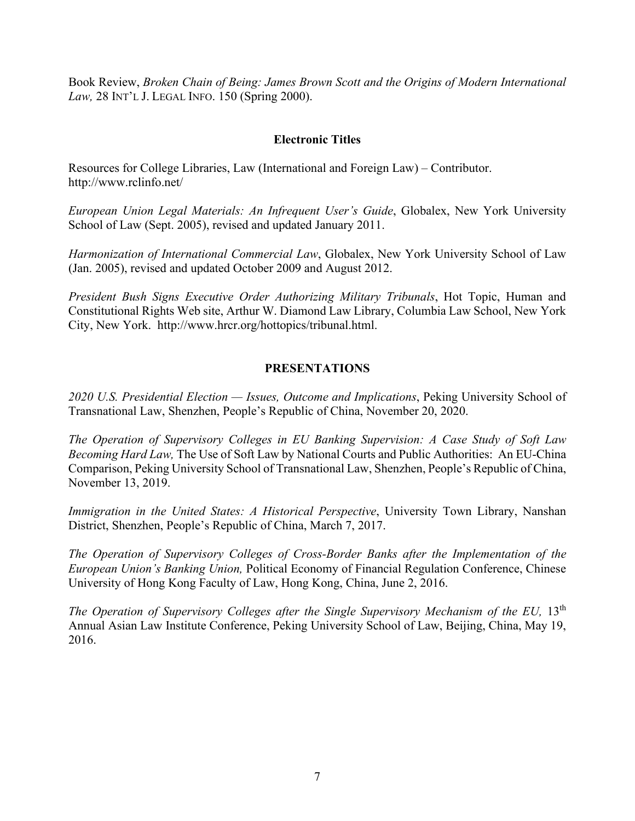Book Review, *Broken Chain of Being: James Brown Scott and the Origins of Modern International Law,* 28 INT'L J. LEGAL INFO. 150 (Spring 2000).

### **Electronic Titles**

Resources for College Libraries, Law (International and Foreign Law) – Contributor. <http://www.rclinfo.net/>

*European Union Legal Materials: An Infrequent User's Guide*, Globalex, New York University School of Law (Sept. 2005), revised and updated January 2011.

*Harmonization of International Commercial Law*, Globalex, New York University School of Law (Jan. 2005), revised and updated October 2009 and August 2012.

*President Bush Signs Executive Order Authorizing Military Tribunals*, Hot Topic, Human and Constitutional Rights Web site, Arthur W. Diamond Law Library, Columbia Law School, New York City, New York. http://www.hrcr.org/hottopics/tribunal.html.

## **PRESENTATIONS**

*2020 U.S. Presidential Election — Issues, Outcome and Implications*, Peking University School of Transnational Law, Shenzhen, People's Republic of China, November 20, 2020.

*The Operation of Supervisory Colleges in EU Banking Supervision: A Case Study of Soft Law Becoming Hard Law,* The Use of Soft Law by National Courts and Public Authorities: An EU-China Comparison, Peking University School of Transnational Law, Shenzhen, People's Republic of China, November 13, 2019.

*Immigration in the United States: A Historical Perspective*, University Town Library, Nanshan District, Shenzhen, People's Republic of China, March 7, 2017.

*The Operation of Supervisory Colleges of Cross-Border Banks after the Implementation of the European Union's Banking Union,* Political Economy of Financial Regulation Conference, Chinese University of Hong Kong Faculty of Law, Hong Kong, China, June 2, 2016.

*The Operation of Supervisory Colleges after the Single Supervisory Mechanism of the EU,* 13th Annual Asian Law Institute Conference, Peking University School of Law, Beijing, China, May 19, 2016.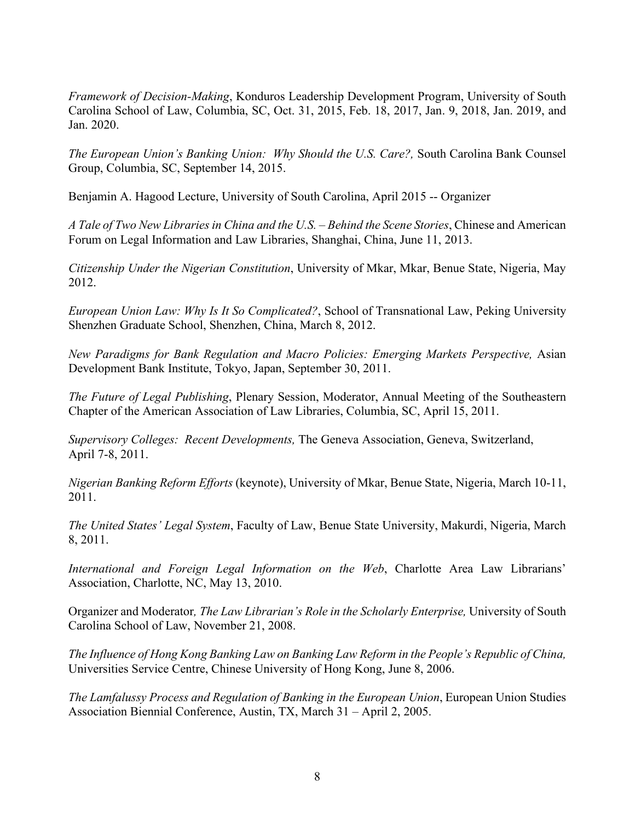*Framework of Decision-Making*, Konduros Leadership Development Program, University of South Carolina School of Law, Columbia, SC, Oct. 31, 2015, Feb. 18, 2017, Jan. 9, 2018, Jan. 2019, and Jan. 2020.

*The European Union's Banking Union: Why Should the U.S. Care?,* South Carolina Bank Counsel Group, Columbia, SC, September 14, 2015.

Benjamin A. Hagood Lecture, University of South Carolina, April 2015 -- Organizer

*A Tale of Two New Libraries in China and the U.S. – Behind the Scene Stories*, Chinese and American Forum on Legal Information and Law Libraries, Shanghai, China, June 11, 2013.

*Citizenship Under the Nigerian Constitution*, University of Mkar, Mkar, Benue State, Nigeria, May 2012.

*European Union Law: Why Is It So Complicated?*, School of Transnational Law, Peking University Shenzhen Graduate School, Shenzhen, China, March 8, 2012.

*New Paradigms for Bank Regulation and Macro Policies: Emerging Markets Perspective,* Asian Development Bank Institute, Tokyo, Japan, September 30, 2011.

*The Future of Legal Publishing*, Plenary Session, Moderator, Annual Meeting of the Southeastern Chapter of the American Association of Law Libraries, Columbia, SC, April 15, 2011.

*Supervisory Colleges: Recent Developments,* The Geneva Association, Geneva, Switzerland, April 7-8, 2011.

*Nigerian Banking Reform Efforts* (keynote), University of Mkar, Benue State, Nigeria, March 10-11, 2011.

*The United States' Legal System*, Faculty of Law, Benue State University, Makurdi, Nigeria, March 8, 2011.

*International and Foreign Legal Information on the Web*, Charlotte Area Law Librarians' Association, Charlotte, NC, May 13, 2010.

Organizer and Moderator*, The Law Librarian's Role in the Scholarly Enterprise,* University of South Carolina School of Law, November 21, 2008.

*The Influence of Hong Kong Banking Law on Banking Law Reform in the People's Republic of China,* Universities Service Centre, Chinese University of Hong Kong, June 8, 2006.

*The Lamfalussy Process and Regulation of Banking in the European Union*, European Union Studies Association Biennial Conference, Austin, TX, March 31 – April 2, 2005.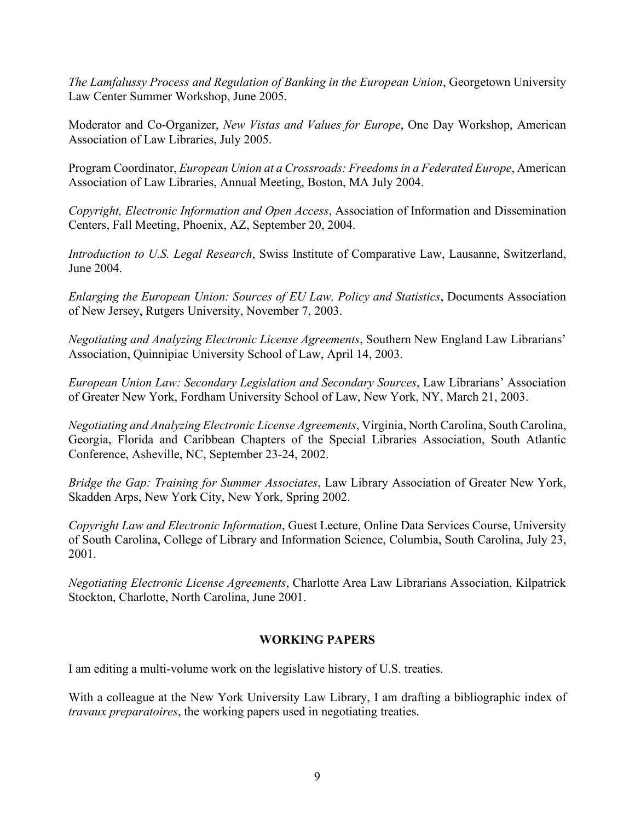*The Lamfalussy Process and Regulation of Banking in the European Union*, Georgetown University Law Center Summer Workshop, June 2005.

Moderator and Co-Organizer, *New Vistas and Values for Europe*, One Day Workshop, American Association of Law Libraries, July 2005.

Program Coordinator, *European Union at a Crossroads: Freedoms in a Federated Europe*, American Association of Law Libraries, Annual Meeting, Boston, MA July 2004.

*Copyright, Electronic Information and Open Access*, Association of Information and Dissemination Centers, Fall Meeting, Phoenix, AZ, September 20, 2004.

*Introduction to U.S. Legal Research*, Swiss Institute of Comparative Law, Lausanne, Switzerland, June 2004.

*Enlarging the European Union: Sources of EU Law, Policy and Statistics*, Documents Association of New Jersey, Rutgers University, November 7, 2003.

*Negotiating and Analyzing Electronic License Agreements*, Southern New England Law Librarians' Association, Quinnipiac University School of Law, April 14, 2003.

*European Union Law: Secondary Legislation and Secondary Sources*, Law Librarians' Association of Greater New York, Fordham University School of Law, New York, NY, March 21, 2003.

*Negotiating and Analyzing Electronic License Agreements*, Virginia, North Carolina, South Carolina, Georgia, Florida and Caribbean Chapters of the Special Libraries Association, South Atlantic Conference, Asheville, NC, September 23-24, 2002.

*Bridge the Gap: Training for Summer Associates*, Law Library Association of Greater New York, Skadden Arps, New York City, New York, Spring 2002.

*Copyright Law and Electronic Information*, Guest Lecture, Online Data Services Course, University of South Carolina, College of Library and Information Science, Columbia, South Carolina, July 23, 2001.

*Negotiating Electronic License Agreements*, Charlotte Area Law Librarians Association, Kilpatrick Stockton, Charlotte, North Carolina, June 2001.

## **WORKING PAPERS**

I am editing a multi-volume work on the legislative history of U.S. treaties.

With a colleague at the New York University Law Library, I am drafting a bibliographic index of *travaux preparatoires*, the working papers used in negotiating treaties.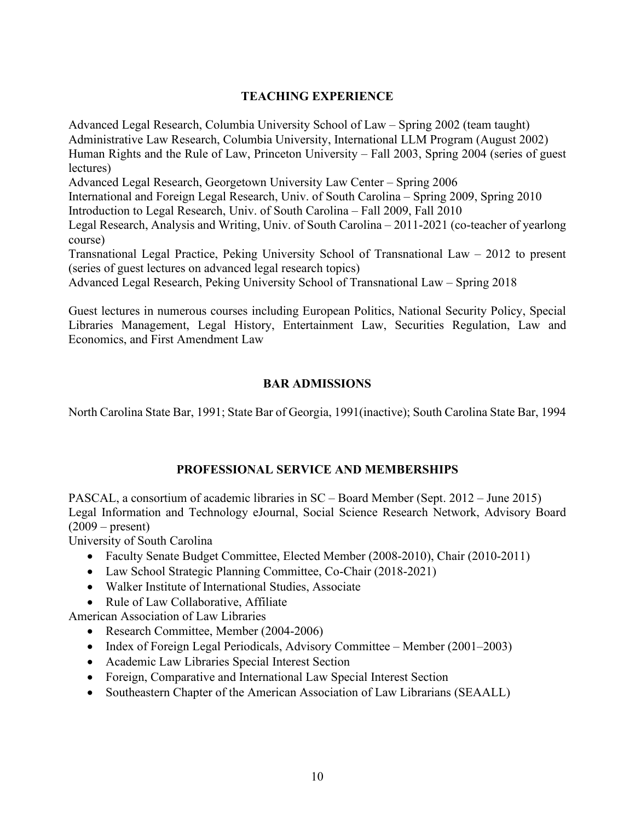# **TEACHING EXPERIENCE**

Advanced Legal Research, Columbia University School of Law – Spring 2002 (team taught) Administrative Law Research, Columbia University, International LLM Program (August 2002) Human Rights and the Rule of Law, Princeton University – Fall 2003, Spring 2004 (series of guest lectures)

Advanced Legal Research, Georgetown University Law Center – Spring 2006

International and Foreign Legal Research, Univ. of South Carolina – Spring 2009, Spring 2010 Introduction to Legal Research, Univ. of South Carolina – Fall 2009, Fall 2010

Legal Research, Analysis and Writing, Univ. of South Carolina – 2011-2021 (co-teacher of yearlong course)

Transnational Legal Practice, Peking University School of Transnational Law – 2012 to present (series of guest lectures on advanced legal research topics)

Advanced Legal Research, Peking University School of Transnational Law – Spring 2018

Guest lectures in numerous courses including European Politics, National Security Policy, Special Libraries Management, Legal History, Entertainment Law, Securities Regulation, Law and Economics, and First Amendment Law

### **BAR ADMISSIONS**

North Carolina State Bar, 1991; State Bar of Georgia, 1991(inactive); South Carolina State Bar, 1994

## **PROFESSIONAL SERVICE AND MEMBERSHIPS**

PASCAL, a consortium of academic libraries in SC – Board Member (Sept. 2012 – June 2015) Legal Information and Technology eJournal, Social Science Research Network, Advisory Board  $(2009 - \text{present})$ 

University of South Carolina

- Faculty Senate Budget Committee, Elected Member (2008-2010), Chair (2010-2011)
- Law School Strategic Planning Committee, Co-Chair (2018-2021)
- Walker Institute of International Studies, Associate
- Rule of Law Collaborative, Affiliate

American Association of Law Libraries

- Research Committee, Member (2004-2006)
- Index of Foreign Legal Periodicals, Advisory Committee Member (2001–2003)
- Academic Law Libraries Special Interest Section
- Foreign, Comparative and International Law Special Interest Section
- Southeastern Chapter of the American Association of Law Librarians (SEAALL)